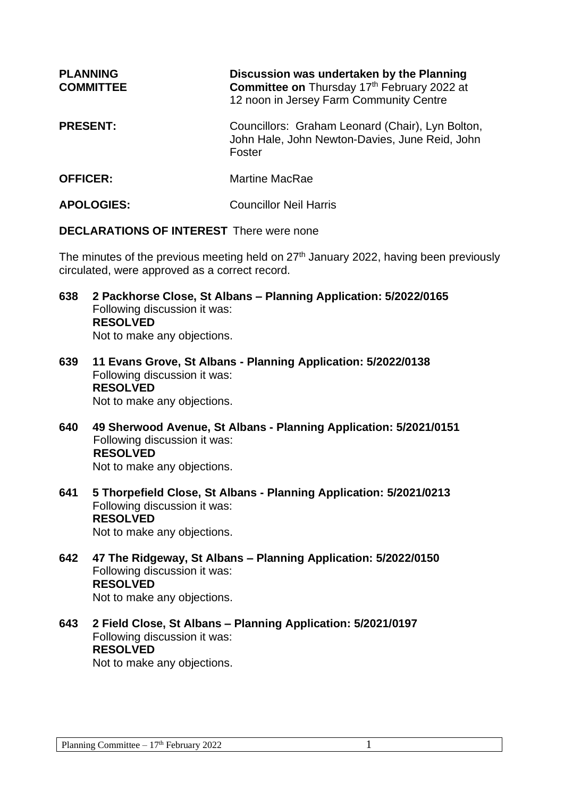| <b>PLANNING</b><br><b>COMMITTEE</b> | Discussion was undertaken by the Planning<br>Committee on Thursday 17th February 2022 at<br>12 noon in Jersey Farm Community Centre |
|-------------------------------------|-------------------------------------------------------------------------------------------------------------------------------------|
| <b>PRESENT:</b>                     | Councillors: Graham Leonard (Chair), Lyn Bolton,<br>John Hale, John Newton-Davies, June Reid, John<br>Foster                        |
| <b>OFFICER:</b>                     | <b>Martine MacRae</b>                                                                                                               |
| <b>APOLOGIES:</b>                   | <b>Councillor Neil Harris</b>                                                                                                       |

**DECLARATIONS OF INTEREST** There were none

The minutes of the previous meeting held on  $27<sup>th</sup>$  January 2022, having been previously circulated, were approved as a correct record.

- **638 2 Packhorse Close, St Albans – Planning Application: 5/2022/0165** Following discussion it was: **RESOLVED** Not to make any objections.
- **639 11 Evans Grove, St Albans - Planning Application: 5/2022/0138** Following discussion it was: **RESOLVED** Not to make any objections.
- **640 49 Sherwood Avenue, St Albans - Planning Application: 5/2021/0151** Following discussion it was: **RESOLVED** Not to make any objections.
- **641 5 Thorpefield Close, St Albans - Planning Application: 5/2021/0213** Following discussion it was: **RESOLVED** Not to make any objections.
- **642 47 The Ridgeway, St Albans – Planning Application: 5/2022/0150** Following discussion it was: **RESOLVED** Not to make any objections.
- **643 2 Field Close, St Albans – Planning Application: 5/2021/0197** Following discussion it was: **RESOLVED** Not to make any objections.